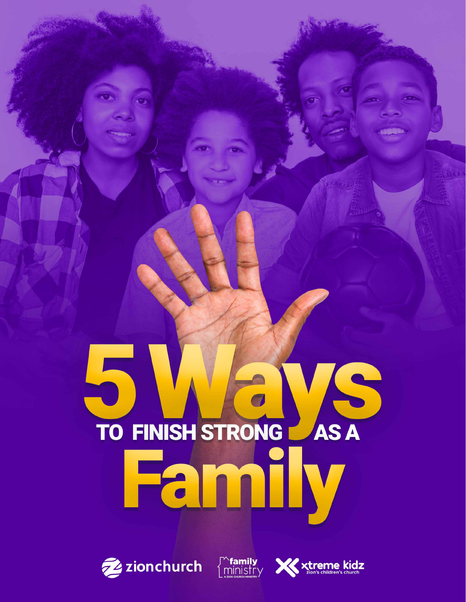# 5 MGVS Family





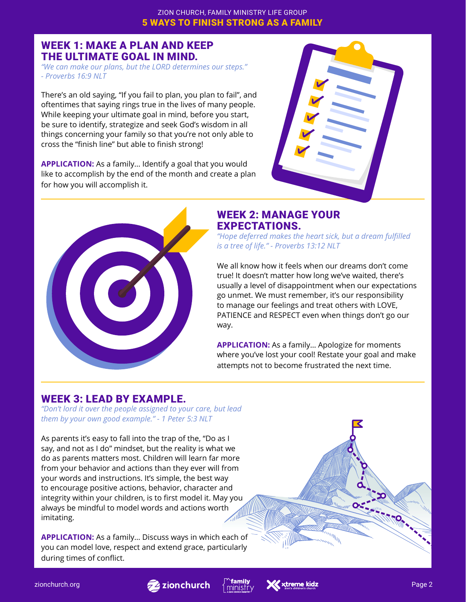# WEEK 1: MAKE A PLAN AND KEEP THE ULTIMATE GOAL IN MIND.

*"We can make our plans, but the LORD determines our steps." - Proverbs 16:9 NLT*

There's an old saying, "If you fail to plan, you plan to fail", and oftentimes that saying rings true in the lives of many people. While keeping your ultimate goal in mind, before you start, be sure to identify, strategize and seek God's wisdom in all things concerning your family so that you're not only able to cross the "finish line" but able to finish strong!

**APPLICATION:** As a family... Identify a goal that you would like to accomplish by the end of the month and create a plan for how you will accomplish it.





## WEEK 2: MANAGE YOUR EXPECTATIONS.

*"Hope deferred makes the heart sick, but a dream fulfilled is a tree of life." - Proverbs 13:12 NLT*

We all know how it feels when our dreams don't come true! It doesn't matter how long we've waited, there's usually a level of disappointment when our expectations go unmet. We must remember, it's our responsibility to manage our feelings and treat others with LOVE, PATIENCE and RESPECT even when things don't go our way.

**APPLICATION:** As a family… Apologize for moments where you've lost your cool! Restate your goal and make attempts not to become frustrated the next time.

# WEEK 3: LEAD BY EXAMPLE.

*"Don't lord it over the people assigned to your care, but lead them by your own good example." - 1 Peter 5:3 NLT*

As parents it's easy to fall into the trap of the, "Do as I say, and not as I do" mindset, but the reality is what we do as parents matters most. Children will learn far more from your behavior and actions than they ever will from your words and instructions. It's simple, the best way to encourage positive actions, behavior, character and integrity within your children, is to first model it. May you always be mindful to model words and actions worth imitating.

**APPLICATION:** As a family… Discuss ways in which each of you can model love, respect and extend grace, particularly during times of conflict.





1179.